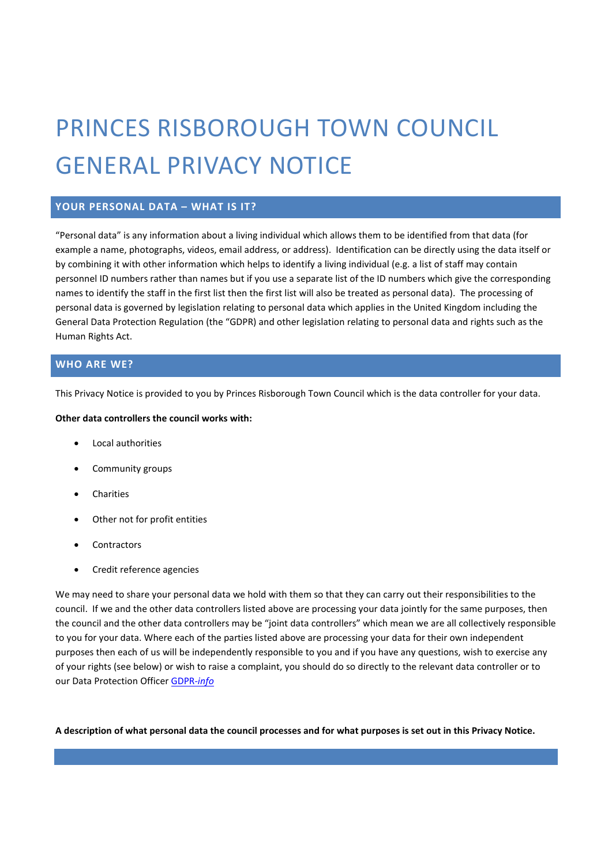# PRINCES RISBOROUGH TOWN COUNCIL GENERAL PRIVACY NOTICE

## **YOUR PERSONAL DATA – WHAT IS IT?**

"Personal data" is any information about a living individual which allows them to be identified from that data (for example a name, photographs, videos, email address, or address). Identification can be directly using the data itself or by combining it with other information which helps to identify a living individual (e.g. a list of staff may contain personnel ID numbers rather than names but if you use a separate list of the ID numbers which give the corresponding names to identify the staff in the first list then the first list will also be treated as personal data). The processing of personal data is governed by legislation relating to personal data which applies in the United Kingdom including the General Data Protection Regulation (the "GDPR) and other legislation relating to personal data and rights such as the Human Rights Act.

#### **WHO ARE WE?**

This Privacy Notice is provided to you by Princes Risborough Town Council which is the data controller for your data.

#### **Other data controllers the council works with:**

- Local authorities
- Community groups
- **Charities**
- Other not for profit entities
- **Contractors**
- Credit reference agencies

We may need to share your personal data we hold with them so that they can carry out their responsibilities to the council. If we and the other data controllers listed above are processing your data jointly for the same purposes, then the council and the other data controllers may be "joint data controllers" which mean we are all collectively responsible to you for your data. Where each of the parties listed above are processing your data for their own independent purposes then each of us will be independently responsible to you and if you have any questions, wish to exercise any of your rights (see below) or wish to raise a complaint, you should do so directly to the relevant data controller or to our Data Protection Office[r GDPR-](https://gdpr-info.com/data-protection-contact-form/)*info*

**A description of what personal data the council processes and for what purposes is set out in this Privacy Notice.**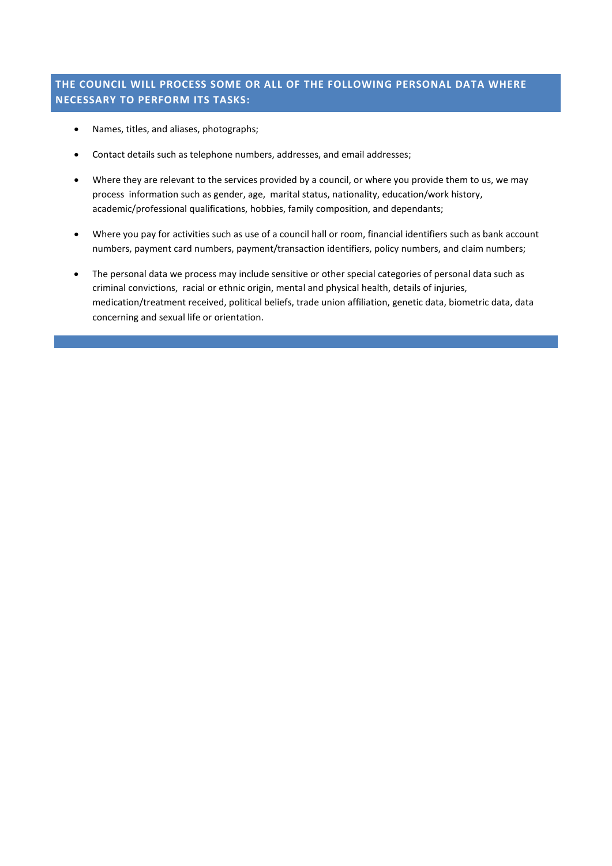# **THE COUNCIL WILL PROCESS SOME OR ALL OF THE FOLLOWING PERSONAL DATA WHERE NECESSARY TO PERFORM ITS TASKS:**

- Names, titles, and aliases, photographs;
- Contact details such as telephone numbers, addresses, and email addresses;
- Where they are relevant to the services provided by a council, or where you provide them to us, we may process information such as gender, age, marital status, nationality, education/work history, academic/professional qualifications, hobbies, family composition, and dependants;
- Where you pay for activities such as use of a council hall or room, financial identifiers such as bank account numbers, payment card numbers, payment/transaction identifiers, policy numbers, and claim numbers;
- The personal data we process may include sensitive or other special categories of personal data such as criminal convictions, racial or ethnic origin, mental and physical health, details of injuries, medication/treatment received, political beliefs, trade union affiliation, genetic data, biometric data, data concerning and sexual life or orientation.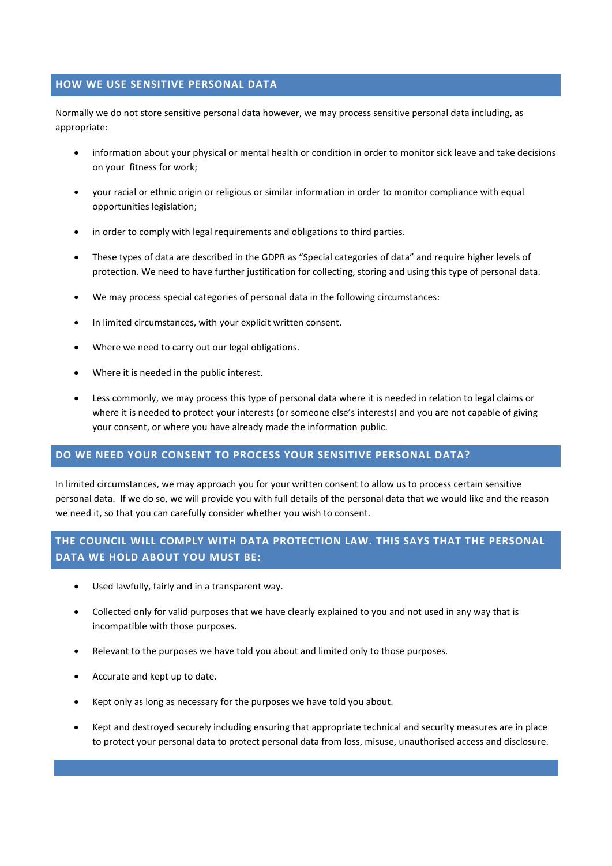#### **HOW WE USE SENSITIVE PERSONAL DATA**

Normally we do not store sensitive personal data however, we may process sensitive personal data including, as appropriate:

- information about your physical or mental health or condition in order to monitor sick leave and take decisions on your fitness for work;
- your racial or ethnic origin or religious or similar information in order to monitor compliance with equal opportunities legislation;
- in order to comply with legal requirements and obligations to third parties.
- These types of data are described in the GDPR as "Special categories of data" and require higher levels of protection. We need to have further justification for collecting, storing and using this type of personal data.
- We may process special categories of personal data in the following circumstances:
- In limited circumstances, with your explicit written consent.
- Where we need to carry out our legal obligations.
- Where it is needed in the public interest.
- Less commonly, we may process this type of personal data where it is needed in relation to legal claims or where it is needed to protect your interests (or someone else's interests) and you are not capable of giving your consent, or where you have already made the information public.

#### **DO WE NEED YOUR CONSENT TO PROCESS YOUR SENSITIVE PERSONAL DATA?**

In limited circumstances, we may approach you for your written consent to allow us to process certain sensitive personal data. If we do so, we will provide you with full details of the personal data that we would like and the reason we need it, so that you can carefully consider whether you wish to consent.

# **THE COUNCIL WILL COMPLY WITH DATA PROTECTION LAW. THIS SAYS THAT THE PERSONAL DATA WE HOLD ABOUT YOU MUST BE:**

- Used lawfully, fairly and in a transparent way.
- Collected only for valid purposes that we have clearly explained to you and not used in any way that is incompatible with those purposes.
- Relevant to the purposes we have told you about and limited only to those purposes.
- Accurate and kept up to date.
- Kept only as long as necessary for the purposes we have told you about.
- Kept and destroyed securely including ensuring that appropriate technical and security measures are in place to protect your personal data to protect personal data from loss, misuse, unauthorised access and disclosure.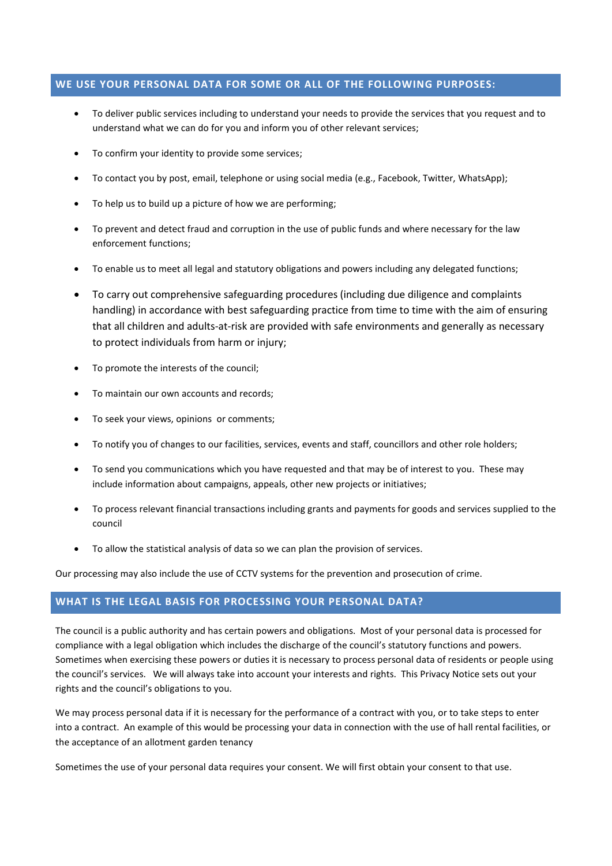#### **WE USE YOUR PERSONAL DATA FOR SOME OR ALL OF THE FOLLOWING PURPOSES:**

- To deliver public services including to understand your needs to provide the services that you request and to understand what we can do for you and inform you of other relevant services;
- To confirm your identity to provide some services;
- To contact you by post, email, telephone or using social media (e.g., Facebook, Twitter, WhatsApp);
- To help us to build up a picture of how we are performing;
- To prevent and detect fraud and corruption in the use of public funds and where necessary for the law enforcement functions;
- To enable us to meet all legal and statutory obligations and powers including any delegated functions;
- To carry out comprehensive safeguarding procedures (including due diligence and complaints handling) in accordance with best safeguarding practice from time to time with the aim of ensuring that all children and adults-at-risk are provided with safe environments and generally as necessary to protect individuals from harm or injury;
- To promote the interests of the council;
- To maintain our own accounts and records;
- To seek your views, opinions or comments;
- To notify you of changes to our facilities, services, events and staff, councillors and other role holders;
- To send you communications which you have requested and that may be of interest to you. These may include information about campaigns, appeals, other new projects or initiatives;
- To process relevant financial transactions including grants and payments for goods and services supplied to the council
- To allow the statistical analysis of data so we can plan the provision of services.

Our processing may also include the use of CCTV systems for the prevention and prosecution of crime.

## **WHAT IS THE LEGAL BASIS FOR PROCESSING YOUR PERSONAL DATA?**

The council is a public authority and has certain powers and obligations. Most of your personal data is processed for compliance with a legal obligation which includes the discharge of the council's statutory functions and powers. Sometimes when exercising these powers or duties it is necessary to process personal data of residents or people using the council's services. We will always take into account your interests and rights. This Privacy Notice sets out your rights and the council's obligations to you.

We may process personal data if it is necessary for the performance of a contract with you, or to take steps to enter into a contract. An example of this would be processing your data in connection with the use of hall rental facilities, or the acceptance of an allotment garden tenancy

Sometimes the use of your personal data requires your consent. We will first obtain your consent to that use.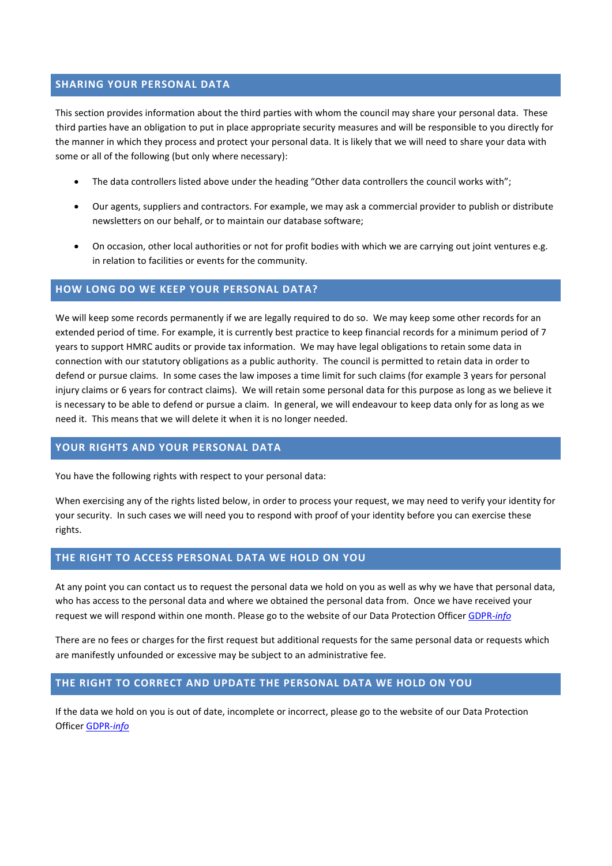#### **SHARING YOUR PERSONAL DATA**

This section provides information about the third parties with whom the council may share your personal data. These third parties have an obligation to put in place appropriate security measures and will be responsible to you directly for the manner in which they process and protect your personal data. It is likely that we will need to share your data with some or all of the following (but only where necessary):

- The data controllers listed above under the heading "Other data controllers the council works with";
- Our agents, suppliers and contractors. For example, we may ask a commercial provider to publish or distribute newsletters on our behalf, or to maintain our database software;
- On occasion, other local authorities or not for profit bodies with which we are carrying out joint ventures e.g. in relation to facilities or events for the community.

#### **HOW LONG DO WE KEEP YOUR PERSONAL DATA?**

We will keep some records permanently if we are legally required to do so. We may keep some other records for an extended period of time. For example, it is currently best practice to keep financial records for a minimum period of 7 years to support HMRC audits or provide tax information. We may have legal obligations to retain some data in connection with our statutory obligations as a public authority. The council is permitted to retain data in order to defend or pursue claims. In some cases the law imposes a time limit for such claims (for example 3 years for personal injury claims or 6 years for contract claims). We will retain some personal data for this purpose as long as we believe it is necessary to be able to defend or pursue a claim. In general, we will endeavour to keep data only for as long as we need it. This means that we will delete it when it is no longer needed.

#### **YOUR RIGHTS AND YOUR PERSONAL DATA**

You have the following rights with respect to your personal data:

When exercising any of the rights listed below, in order to process your request, we may need to verify your identity for your security. In such cases we will need you to respond with proof of your identity before you can exercise these rights.

## **THE RIGHT TO ACCESS PERSONAL DATA WE HOLD ON YOU**

At any point you can contact us to request the personal data we hold on you as well as why we have that personal data, who has access to the personal data and where we obtained the personal data from. Once we have received your request we will respond within one month. Please go to the website of our Data Protection Officer [GDPR-](https://gdpr-info.com/data-protection-contact-form/)*info*

There are no fees or charges for the first request but additional requests for the same personal data or requests which are manifestly unfounded or excessive may be subject to an administrative fee.

#### **THE RIGHT TO CORRECT AND UPDATE THE PERSONAL DATA WE HOLD ON YOU**

If the data we hold on you is out of date, incomplete or incorrect, please go to the website of our Data Protection Officer [GDPR-](https://gdpr-info.com/data-protection-contact-form/)*info*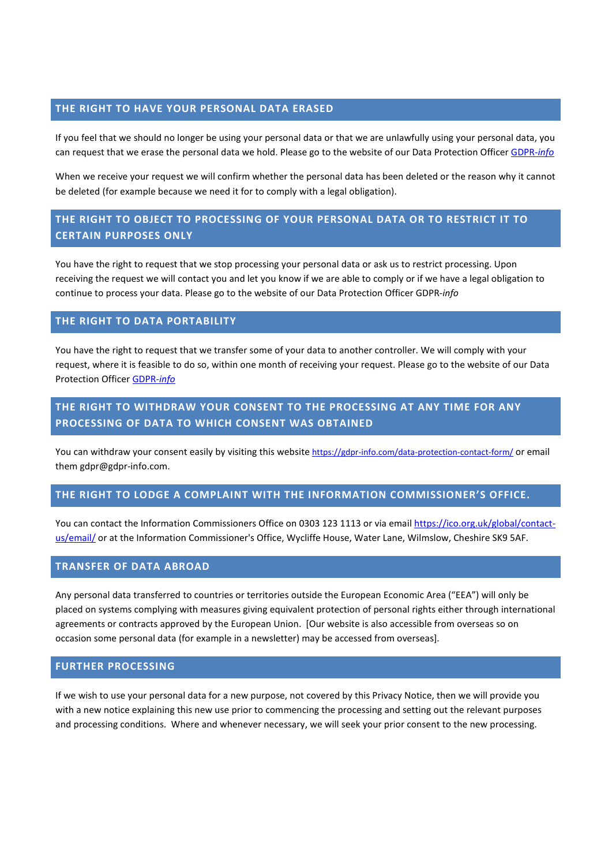## **THE RIGHT TO HAVE YOUR PERSONAL DATA ERASED**

If you feel that we should no longer be using your personal data or that we are unlawfully using your personal data, you can request that we erase the personal data we hold. Please go to the website of our Data Protection Officer [GDPR-](https://gdpr-info.com/data-protection-contact-form/)*info* 

When we receive your request we will confirm whether the personal data has been deleted or the reason why it cannot be deleted (for example because we need it for to comply with a legal obligation).

# **THE RIGHT TO OBJECT TO PROCESSING OF YOUR PERSONAL DATA OR TO RESTRICT IT TO CERTAIN PURPOSES ONLY**

You have the right to request that we stop processing your personal data or ask us to restrict processing. Upon receiving the request we will contact you and let you know if we are able to comply or if we have a legal obligation to continue to process your data. Please go to the website of our Data Protection Officer GDPR-*info* 

## **THE RIGHT TO DATA PORTABILITY**

You have the right to request that we transfer some of your data to another controller. We will comply with your request, where it is feasible to do so, within one month of receiving your request. Please go to the website of our Data Protection Officer [GDPR-](https://gdpr-info.com/data-protection-contact-form/)*info*

# **THE RIGHT TO WITHDRAW YOUR CONSENT TO THE PROCESSING AT ANY TIME FOR ANY PROCESSING OF DATA TO WHICH CONSENT WAS OBTAINED**

You can withdraw your consent easily by visiting this websit[e https://gdpr-info.com/data-protection-contact-form/](https://gdpr-info.com/data-protection-contact-form/) or email them gdpr@gdpr-info.com.

# **THE RIGHT TO LODGE A COMPLAINT WITH THE INFORMATION COMMISSIONER'S OFFICE.**

You can contact the Information Commissioners Office on 0303 123 1113 or via email [https://ico.org.uk/global/contact](https://ico.org.uk/global/contact-us/email/)[us/email/](https://ico.org.uk/global/contact-us/email/) or at the Information Commissioner's Office, Wycliffe House, Water Lane, Wilmslow, Cheshire SK9 5AF.

#### **TRANSFER OF DATA ABROAD**

Any personal data transferred to countries or territories outside the European Economic Area ("EEA") will only be placed on systems complying with measures giving equivalent protection of personal rights either through international agreements or contracts approved by the European Union. [Our website is also accessible from overseas so on occasion some personal data (for example in a newsletter) may be accessed from overseas].

#### **FURTHER PROCESSING**

If we wish to use your personal data for a new purpose, not covered by this Privacy Notice, then we will provide you with a new notice explaining this new use prior to commencing the processing and setting out the relevant purposes and processing conditions. Where and whenever necessary, we will seek your prior consent to the new processing.